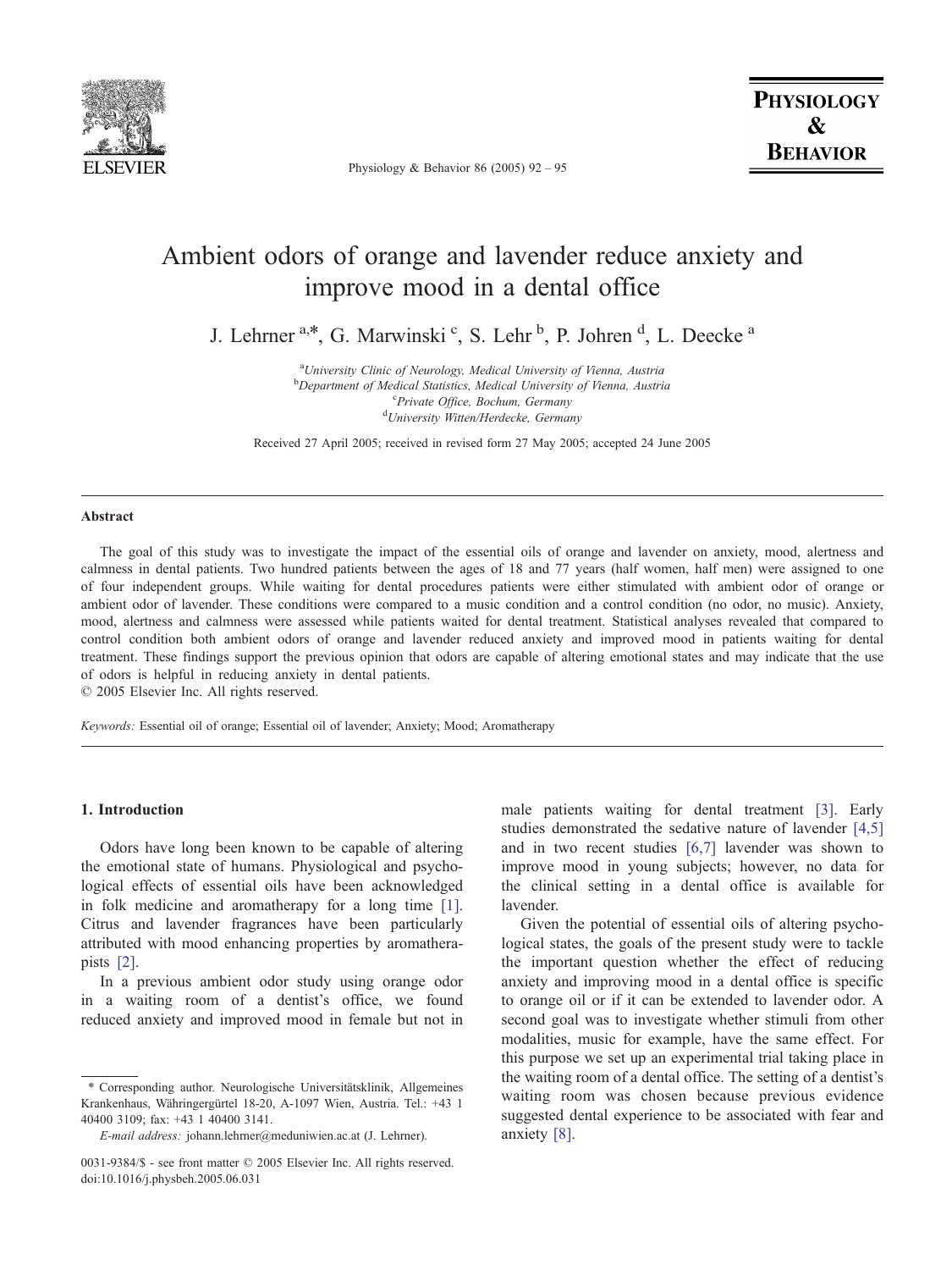

Physiology & Behavior 86 (2005) 92 – 95

# Ambient odors of orange and lavender reduce anxiety and improve mood in a dental office

J. Lehrner <sup>a,\*</sup>, G. Marwinski <sup>c</sup>, S. Lehr <sup>b</sup>, P. Johren <sup>d</sup>, L. Deecke <sup>a</sup>

<sup>a</sup>University Clinic of Neurology, Medical University of Vienna, Austria **b** Department of Medical Statistics, Medical University of Vienna, Austria <sup>c</sup>Private Office, Bochum, Germany<br><sup>d</sup>University Witter/Herdecke, German University Witten/Herdecke, Germany

Received 27 April 2005; received in revised form 27 May 2005; accepted 24 June 2005

#### Abstract

The goal of this study was to investigate the impact of the essential oils of orange and lavender on anxiety, mood, alertness and calmness in dental patients. Two hundred patients between the ages of 18 and 77 years (half women, half men) were assigned to one of four independent groups. While waiting for dental procedures patients were either stimulated with ambient odor of orange or ambient odor of lavender. These conditions were compared to a music condition and a control condition (no odor, no music). Anxiety, mood, alertness and calmness were assessed while patients waited for dental treatment. Statistical analyses revealed that compared to control condition both ambient odors of orange and lavender reduced anxiety and improved mood in patients waiting for dental treatment. These findings support the previous opinion that odors are capable of altering emotional states and may indicate that the use of odors is helpful in reducing anxiety in dental patients.

 $© 2005 Elsevier Inc. All rights reserved.$ 

Keywords: Essential oil of orange; Essential oil of lavender; Anxiety; Mood; Aromatherapy

# 1. Introduction

Odors have long been known to be capable of altering the emotional state of humans. Physiological and psychological effects of essential oils have been acknowledged in folk medicine and aromatherapy for a long time [\[1\].](#page-3-0) Citrus and lavender fragrances have been particularly attributed with mood enhancing properties by aromatherapists [\[2\]](#page-3-0).

In a previous ambient odor study using orange odor in a waiting room of a dentist's office, we found reduced anxiety and improved mood in female but not in

male patients waiting for dental treatment [\[3\]](#page-3-0). Early studies demonstrated the sedative nature of lavender [\[4,5\]](#page-3-0) and in two recent studies [\[6,7\]](#page-3-0) lavender was shown to improve mood in young subjects; however, no data for the clinical setting in a dental office is available for lavender.

Given the potential of essential oils of altering psychological states, the goals of the present study were to tackle the important question whether the effect of reducing anxiety and improving mood in a dental office is specific to orange oil or if it can be extended to lavender odor. A second goal was to investigate whether stimuli from other modalities, music for example, have the same effect. For this purpose we set up an experimental trial taking place in the waiting room of a dental office. The setting of a dentist's waiting room was chosen because previous evidence suggested dental experience to be associated with fear and anxiety [\[8\].](#page-3-0)

<sup>\*</sup> Corresponding author. Neurologische Universita¨tsklinik, Allgemeines Krankenhaus, Währingergürtel 18-20, A-1097 Wien, Austria. Tel.: +43 1 40400 3109; fax: +43 1 40400 3141.

E-mail address: johann.lehrner@meduniwien.ac.at (J. Lehrner).

<sup>0031-9384/\$ -</sup> see front matter © 2005 Elsevier Inc. All rights reserved. doi:10.1016/j.physbeh.2005.06.031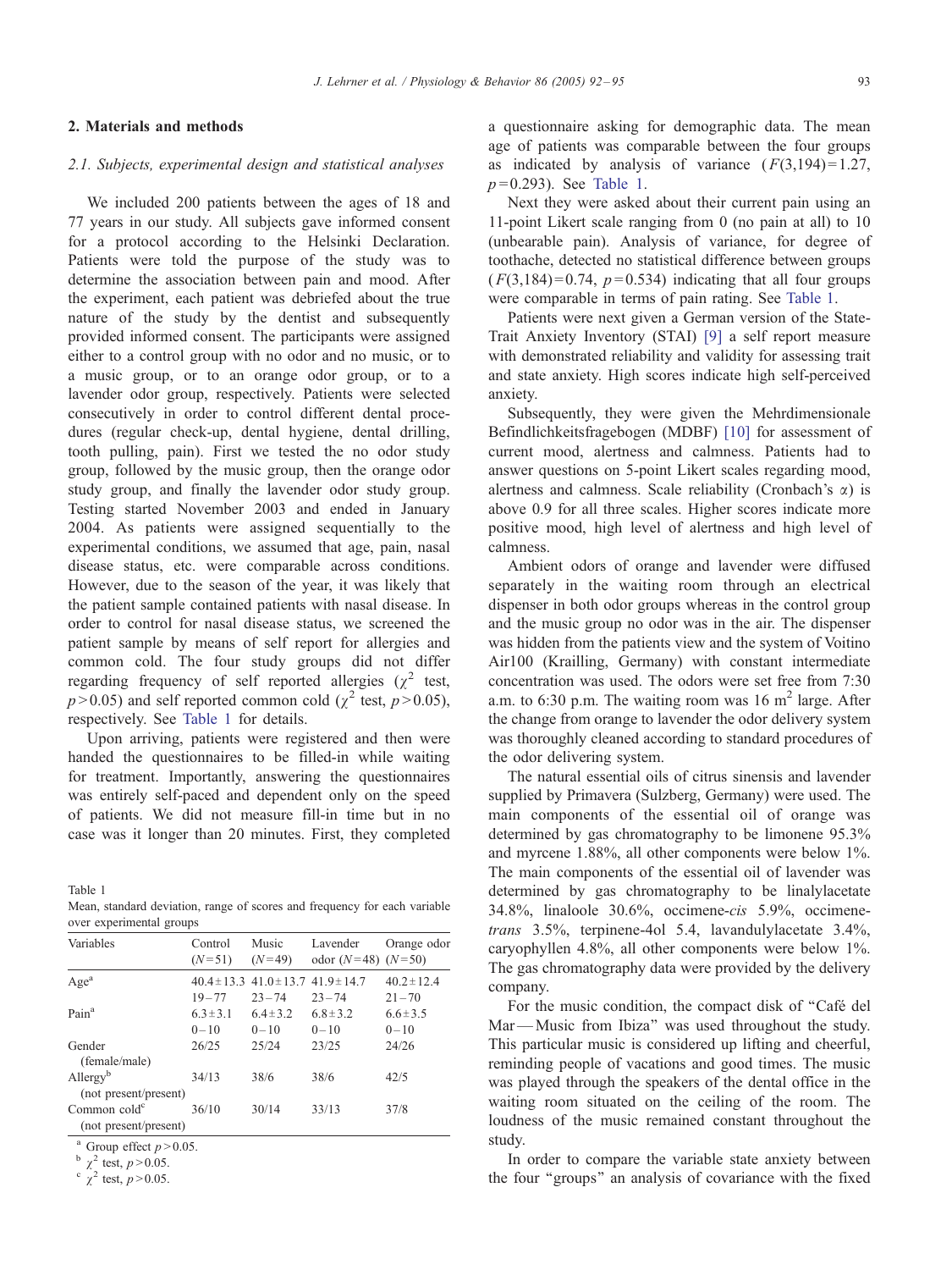#### J. Lehrner et al. / Physiology & Behavior 86 (2005) 92-95 93

#### 2. Materials and methods

## 2.1. Subjects, experimental design and statistical analyses

We included 200 patients between the ages of 18 and 77 years in our study. All subjects gave informed consent for a protocol according to the Helsinki Declaration. Patients were told the purpose of the study was to determine the association between pain and mood. After the experiment, each patient was debriefed about the true nature of the study by the dentist and subsequently provided informed consent. The participants were assigned either to a control group with no odor and no music, or to a music group, or to an orange odor group, or to a lavender odor group, respectively. Patients were selected consecutively in order to control different dental procedures (regular check-up, dental hygiene, dental drilling, tooth pulling, pain). First we tested the no odor study group, followed by the music group, then the orange odor study group, and finally the lavender odor study group. Testing started November 2003 and ended in January 2004. As patients were assigned sequentially to the experimental conditions, we assumed that age, pain, nasal disease status, etc. were comparable across conditions. However, due to the season of the year, it was likely that the patient sample contained patients with nasal disease. In order to control for nasal disease status, we screened the patient sample by means of self report for allergies and common cold. The four study groups did not differ regarding frequency of self reported allergies ( $\chi^2$  test,  $p > 0.05$ ) and self reported common cold ( $\chi^2$  test,  $p > 0.05$ ), respectively. See Table 1 for details.

Upon arriving, patients were registered and then were handed the questionnaires to be filled-in while waiting for treatment. Importantly, answering the questionnaires was entirely self-paced and dependent only on the speed of patients. We did not measure fill-in time but in no case was it longer than 20 minutes. First, they completed

Table 1

Mean, standard deviation, range of scores and frequency for each variable over experimental groups

| Variables                                         | Control<br>$(N=51)$       | Music<br>$(N=49)$                                            | Lavender<br>odor $(N=48)$ $(N=50)$ | Orange odor                  |
|---------------------------------------------------|---------------------------|--------------------------------------------------------------|------------------------------------|------------------------------|
| Age <sup>a</sup>                                  | $19 - 77$                 | $40.4 \pm 13.3$ $41.0 \pm 13.7$ $41.9 \pm 14.7$<br>$23 - 74$ | $23 - 74$                          | $40.2 \pm 12.4$<br>$21 - 70$ |
| Pain <sup>a</sup>                                 | $6.3 \pm 3.1$<br>$0 - 10$ | $6.4 \pm 3.2$<br>$0 - 10$                                    | $6.8 \pm 3.2$<br>$0 - 10$          | $6.6 \pm 3.5$<br>$0 - 10$    |
| Gender<br>(female/male)                           | 26/25                     | 25/24                                                        | 23/25                              | 24/26                        |
| Allergy <sup>b</sup><br>(not present/present)     | 34/13                     | 38/6                                                         | 38/6                               | 42/5                         |
| Common cold <sup>c</sup><br>(not present/present) | 36/10                     | 30/14                                                        | 33/13                              | 37/8                         |

Group effect  $p > 0.05$ .

 $\frac{b}{x^2}$  test,  $p > 0.05$ .<br>  $\frac{c}{x^2}$  test,  $p > 0.05$ .

a questionnaire asking for demographic data. The mean age of patients was comparable between the four groups as indicated by analysis of variance  $(F(3,194)=1.27,$  $p = 0.293$ ). See Table 1.

Next they were asked about their current pain using an 11-point Likert scale ranging from 0 (no pain at all) to 10 (unbearable pain). Analysis of variance, for degree of toothache, detected no statistical difference between groups  $(F(3,184)=0.74, p=0.534)$  indicating that all four groups were comparable in terms of pain rating. See Table 1.

Patients were next given a German version of the State-Trait Anxiety Inventory (STAI) [\[9\]](#page-3-0) a self report measure with demonstrated reliability and validity for assessing trait and state anxiety. High scores indicate high self-perceived anxiety.

Subsequently, they were given the Mehrdimensionale Befindlichkeitsfragebogen (MDBF) [\[10\]](#page-3-0) for assessment of current mood, alertness and calmness. Patients had to answer questions on 5-point Likert scales regarding mood, alertness and calmness. Scale reliability (Cronbach's  $\alpha$ ) is above 0.9 for all three scales. Higher scores indicate more positive mood, high level of alertness and high level of calmness.

Ambient odors of orange and lavender were diffused separately in the waiting room through an electrical dispenser in both odor groups whereas in the control group and the music group no odor was in the air. The dispenser was hidden from the patients view and the system of Voitino Air100 (Krailling, Germany) with constant intermediate concentration was used. The odors were set free from 7:30 a.m. to 6:30 p.m. The waiting room was  $16 \text{ m}^2$  large. After the change from orange to lavender the odor delivery system was thoroughly cleaned according to standard procedures of the odor delivering system.

The natural essential oils of citrus sinensis and lavender supplied by Primavera (Sulzberg, Germany) were used. The main components of the essential oil of orange was determined by gas chromatography to be limonene 95.3% and myrcene 1.88%, all other components were below 1%. The main components of the essential oil of lavender was determined by gas chromatography to be linalylacetate 34.8%, linaloole 30.6%, occimene-cis 5.9%, occimenetrans 3.5%, terpinene-4ol 5.4, lavandulylacetate 3.4%, caryophyllen 4.8%, all other components were below 1%. The gas chromatography data were provided by the delivery company.

For the music condition, the compact disk of "Café del Mar— Music from Ibiza'' was used throughout the study. This particular music is considered up lifting and cheerful, reminding people of vacations and good times. The music was played through the speakers of the dental office in the waiting room situated on the ceiling of the room. The loudness of the music remained constant throughout the study.

In order to compare the variable state anxiety between the four ''groups'' an analysis of covariance with the fixed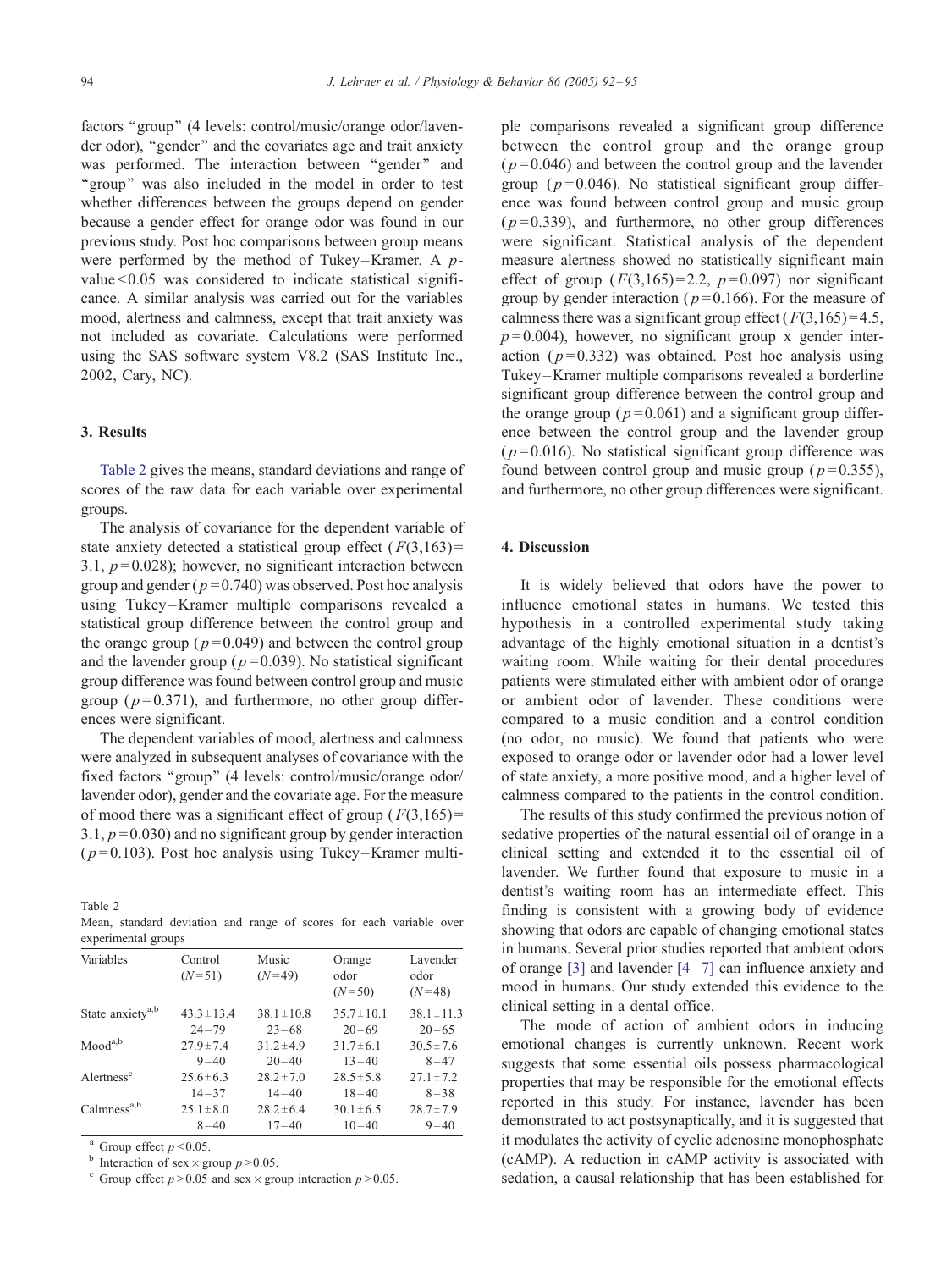factors "group" (4 levels: control/music/orange odor/lavender odor), ''gender'' and the covariates age and trait anxiety was performed. The interaction between "gender" and "group" was also included in the model in order to test whether differences between the groups depend on gender because a gender effect for orange odor was found in our previous study. Post hoc comparisons between group means were performed by the method of Tukey-Kramer. A  $p$ value < 0.05 was considered to indicate statistical significance. A similar analysis was carried out for the variables mood, alertness and calmness, except that trait anxiety was not included as covariate. Calculations were performed using the SAS software system V8.2 (SAS Institute Inc., 2002, Cary, NC).

# 3. Results

Table 2 gives the means, standard deviations and range of scores of the raw data for each variable over experimental groups.

The analysis of covariance for the dependent variable of state anxiety detected a statistical group effect  $(F(3,163))$ = 3.1,  $p = 0.028$ ); however, no significant interaction between group and gender ( $p = 0.740$ ) was observed. Post hoc analysis using Tukey –Kramer multiple comparisons revealed a statistical group difference between the control group and the orange group ( $p = 0.049$ ) and between the control group and the lavender group ( $p = 0.039$ ). No statistical significant group difference was found between control group and music group ( $p=0.371$ ), and furthermore, no other group differences were significant.

The dependent variables of mood, alertness and calmness were analyzed in subsequent analyses of covariance with the fixed factors ''group'' (4 levels: control/music/orange odor/ lavender odor), gender and the covariate age. For the measure of mood there was a significant effect of group  $(F(3,165)) =$ 3.1,  $p = 0.030$  and no significant group by gender interaction  $(p=0.103)$ . Post hoc analysis using Tukey–Kramer multi-

Table 2

Mean, standard deviation and range of scores for each variable over experimental groups

| Variables                    | Control<br>$(N=51)$ | Music<br>$(N=49)$ | Orange<br>odor<br>$(N=50)$ | Lavender<br>odor<br>$(N=48)$ |
|------------------------------|---------------------|-------------------|----------------------------|------------------------------|
| State anxiety <sup>a,b</sup> | $43.3 \pm 13.4$     | $38.1 \pm 10.8$   | $35.7 \pm 10.1$            | $38.1 \pm 11.3$              |
|                              | $24 - 79$           | $23 - 68$         | $20 - 69$                  | $20 - 65$                    |
| Mood <sup>a,b</sup>          | $27.9 \pm 7.4$      | $31.2 \pm 4.9$    | $31.7 \pm 6.1$             | $30.5 \pm 7.6$               |
|                              | $9 - 40$            | $20 - 40$         | $13 - 40$                  | $8 - 47$                     |
| Alertness <sup>c</sup>       | $25.6 \pm 6.3$      | $28.2 \pm 7.0$    | $28.5 \pm 5.8$             | $27.1 \pm 7.2$               |
|                              | $14 - 37$           | $14 - 40$         | $18 - 40$                  | $8 - 38$                     |
| Calmness <sup>a,b</sup>      | $25.1 \pm 8.0$      | $28.2 \pm 6.4$    | $30.1 \pm 6.5$             | $28.7 \pm 7.9$               |
|                              | $8 - 40$            | $17 - 40$         | $10 - 40$                  | $9 - 40$                     |

<sup>a</sup> Group effect  $p < 0.05$ .<br><sup>b</sup> Interaction of sex × group  $p > 0.05$ .

<sup>c</sup> Group effect  $p > 0.05$  and sex  $\times$  group interaction  $p > 0.05$ .

ple comparisons revealed a significant group difference between the control group and the orange group  $(p=0.046)$  and between the control group and the lavender group ( $p=0.046$ ). No statistical significant group difference was found between control group and music group  $(p=0.339)$ , and furthermore, no other group differences were significant. Statistical analysis of the dependent measure alertness showed no statistically significant main effect of group  $(F(3,165)=2.2, p=0.097)$  nor significant group by gender interaction ( $p=0.166$ ). For the measure of calmness there was a significant group effect ( $F(3,165) = 4.5$ ,  $p=0.004$ ), however, no significant group x gender interaction ( $p=0.332$ ) was obtained. Post hoc analysis using Tukey –Kramer multiple comparisons revealed a borderline significant group difference between the control group and the orange group ( $p = 0.061$ ) and a significant group difference between the control group and the lavender group  $(p=0.016)$ . No statistical significant group difference was found between control group and music group ( $p = 0.355$ ), and furthermore, no other group differences were significant.

# 4. Discussion

It is widely believed that odors have the power to influence emotional states in humans. We tested this hypothesis in a controlled experimental study taking advantage of the highly emotional situation in a dentist's waiting room. While waiting for their dental procedures patients were stimulated either with ambient odor of orange or ambient odor of lavender. These conditions were compared to a music condition and a control condition (no odor, no music). We found that patients who were exposed to orange odor or lavender odor had a lower level of state anxiety, a more positive mood, and a higher level of calmness compared to the patients in the control condition.

The results of this study confirmed the previous notion of sedative properties of the natural essential oil of orange in a clinical setting and extended it to the essential oil of lavender. We further found that exposure to music in a dentist's waiting room has an intermediate effect. This finding is consistent with a growing body of evidence showing that odors are capable of changing emotional states in humans. Several prior studies reported that ambient odors of orange [\[3\]](#page-3-0) and lavender  $[4-7]$  can influence anxiety and mood in humans. Our study extended this evidence to the clinical setting in a dental office.

The mode of action of ambient odors in inducing emotional changes is currently unknown. Recent work suggests that some essential oils possess pharmacological properties that may be responsible for the emotional effects reported in this study. For instance, lavender has been demonstrated to act postsynaptically, and it is suggested that it modulates the activity of cyclic adenosine monophosphate (cAMP). A reduction in cAMP activity is associated with sedation, a causal relationship that has been established for